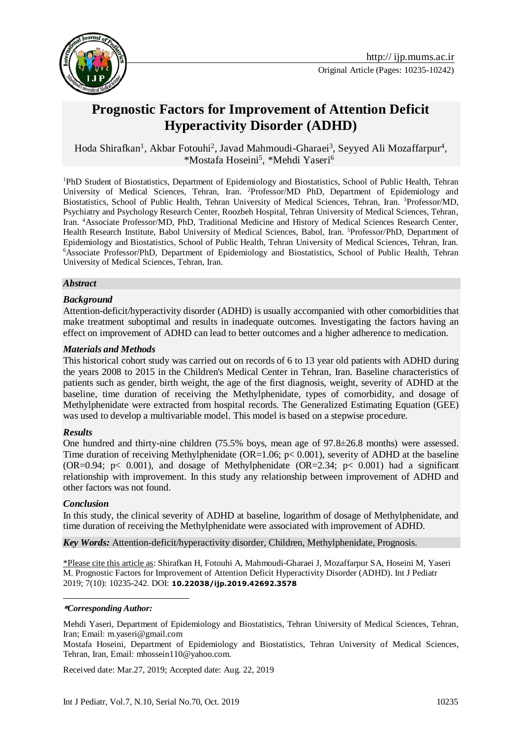

# **Prognostic Factors for Improvement of Attention Deficit Hyperactivity Disorder (ADHD)**

Hoda Shirafkan<sup>1</sup>, Akbar Fotouhi<sup>2</sup>, Javad Mahmoudi-Gharaei<sup>3</sup>, Seyyed Ali Mozaffarpur<sup>4</sup>, \*Mostafa Hoseini<sup>5</sup>, \*Mehdi Yaseri<sup>6</sup>

<sup>1</sup>PhD Student of Biostatistics, Department of Epidemiology and Biostatistics, School of Public Health, Tehran University of Medical Sciences, Tehran, Iran. <sup>2</sup>Professor/MD PhD, Department of Epidemiology and Biostatistics, School of Public Health, Tehran University of Medical Sciences, Tehran, Iran. <sup>3</sup>Professor/MD, Psychiatry and Psychology Research Center, Roozbeh Hospital, Tehran University of Medical Sciences, Tehran, Iran. <sup>4</sup>Associate Professor/MD, PhD, Traditional Medicine and History of Medical Sciences Research Center, Health Research Institute, Babol University of Medical Sciences, Babol, Iran. <sup>5</sup>Professor/PhD, Department of Epidemiology and Biostatistics, School of Public Health, Tehran University of Medical Sciences, Tehran, Iran. <sup>6</sup>Associate Professor/PhD, Department of Epidemiology and Biostatistics, School of Public Health, Tehran University of Medical Sciences, Tehran, Iran.

#### *Abstract*

#### *Background*

Attention-deficit/hyperactivity disorder (ADHD) is usually accompanied with other comorbidities that make treatment suboptimal and results in inadequate outcomes. Investigating the factors having an effect on improvement of ADHD can lead to better outcomes and a higher adherence to medication.

#### *Materials and Methods*

This historical cohort study was carried out on records of 6 to 13 year old patients with ADHD during the years 2008 to 2015 in the Children's Medical Center in Tehran, Iran. Baseline characteristics of patients such as gender, birth weight, the age of the first diagnosis, weight, severity of ADHD at the baseline, time duration of receiving the Methylphenidate, types of comorbidity, and dosage of Methylphenidate were extracted from hospital records. The Generalized Estimating Equation (GEE) was used to develop a multivariable model. This model is based on a stepwise procedure.

#### *Results*

One hundred and thirty-nine children (75.5% boys, mean age of 97.8±26.8 months) were assessed. Time duration of receiving Methylphenidate (OR=1.06;  $p < 0.001$ ), severity of ADHD at the baseline  $(OR=0.94; p< 0.001)$ , and dosage of Methylphenidate  $(OR=2.34; p< 0.001)$  had a significant relationship with improvement. In this study any relationship between improvement of ADHD and other factors was not found.

#### *Conclusion*

-

In this study, the clinical severity of ADHD at baseline, logarithm of dosage of Methylphenidate, and time duration of receiving the Methylphenidate were associated with improvement of ADHD.

*Key Words:* Attention-deficit/hyperactivity disorder, Children, Methylphenidate, Prognosis.

\*Please cite this article as: Shirafkan H, Fotouhi A, Mahmoudi-Gharaei J, Mozaffarpur SA, Hoseini M, Yaseri M. Prognostic Factors for Improvement of Attention Deficit Hyperactivity Disorder (ADHD). Int J Pediatr 2019; 7(10): 10235-242. DOI: **10.22038/ijp.2019.42692.3578**

#### **\****Corresponding Author:*

Mehdi Yaseri, Department of Epidemiology and Biostatistics, Tehran University of Medical Sciences, Tehran, Iran; Email: m.yaseri@gmail.com

Mostafa Hoseini, Department of Epidemiology and Biostatistics, Tehran University of Medical Sciences, Tehran, Iran, Email: mhossein110@yahoo.com.

Received date: Mar.27, 2019; Accepted date: Aug. 22, 2019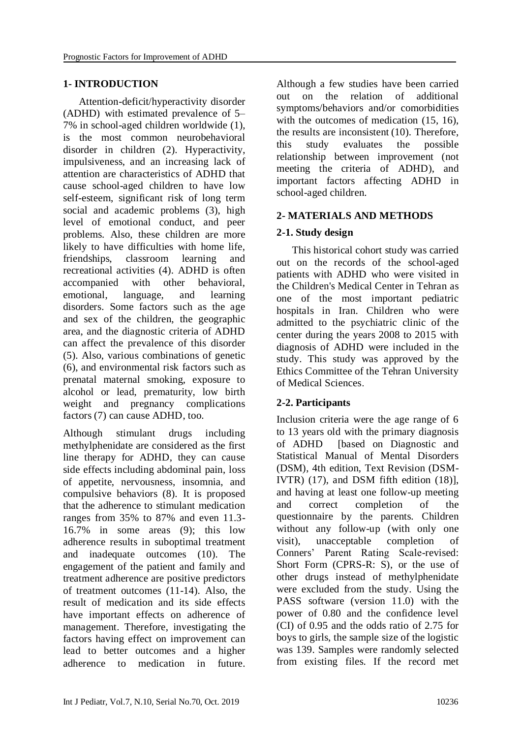### **1- INTRODUCTION**

 Attention-deficit/hyperactivity disorder (ADHD) with estimated prevalence of 5– 7% in school-aged children worldwide [\(1\)](#page-5-0), is the most common neurobehavioral disorder in children [\(2\)](#page-5-1). Hyperactivity, impulsiveness, and an increasing lack of attention are characteristics of ADHD that cause school-aged children to have low self-esteem, significant risk of long term social and academic problems [\(3\)](#page-5-2), high level of emotional conduct, and peer problems. Also, these children are more likely to have difficulties with home life, friendships, classroom learning and recreational activities [\(4\)](#page-6-0). ADHD is often accompanied with other behavioral, emotional, language, and learning disorders. Some factors such as the age and sex of the children, the geographic area, and the diagnostic criteria of ADHD can affect the prevalence of this disorder [\(5\)](#page-6-1). Also, various combinations of genetic [\(6\)](#page-6-2), and environmental risk factors such as prenatal maternal smoking, exposure to alcohol or lead, prematurity, low birth weight and pregnancy complications factors [\(7\)](#page-6-3) can cause ADHD, too.

Although stimulant drugs including methylphenidate are considered as the first line therapy for ADHD, they can cause side effects including abdominal pain, loss of appetite, nervousness, insomnia, and compulsive behaviors [\(8\)](#page-6-4). It is proposed that the adherence to stimulant medication ranges from 35% to 87% and even 11.3- 16.7% in some areas [\(9\)](#page-6-5); this low adherence results in suboptimal treatment and inadequate outcomes [\(10\)](#page-6-6). The engagement of the patient and family and treatment adherence are positive predictors of treatment outcomes [\(11-14\)](#page-6-7). Also, the result of medication and its side effects have important effects on adherence of management. Therefore, investigating the factors having effect on improvement can lead to better outcomes and a higher adherence to medication in future.

Although a few studies have been carried out on the relation of additional symptoms/behaviors and/or comorbidities with the outcomes of medication  $(15, 16)$  $(15, 16)$ , the results are inconsistent [\(10\)](#page-6-6). Therefore, this study evaluates the possible relationship between improvement (not meeting the criteria of ADHD), and important factors affecting ADHD in school-aged children.

# **2- MATERIALS AND METHODS**

# **2-1. Study design**

 This historical cohort study was carried out on the records of the school-aged patients with ADHD who were visited in the Children's Medical Center in Tehran as one of the most important pediatric hospitals in Iran. Children who were admitted to the psychiatric clinic of the center during the years 2008 to 2015 with diagnosis of ADHD were included in the study. This study was approved by the Ethics Committee of the Tehran University of Medical Sciences.

# **2-2. Participants**

Inclusion criteria were the age range of 6 to 13 years old with the primary diagnosis of ADHD [based on Diagnostic and Statistical Manual of Mental Disorders (DSM), 4th edition, Text Revision (DSM-IVTR) [\(17\)](#page-6-10), and DSM fifth edition [\(18\)](#page-6-11)], and having at least one follow-up meeting and correct completion of the questionnaire by the parents. Children without any follow-up (with only one visit), unacceptable completion of Conners' Parent Rating Scale-revised: Short Form (CPRS-R: S), or the use of other drugs instead of methylphenidate were excluded from the study. Using the PASS software (version 11.0) with the power of 0.80 and the confidence level (CI) of 0.95 and the odds ratio of 2.75 for boys to girls, the sample size of the logistic was 139. Samples were randomly selected from existing files. If the record met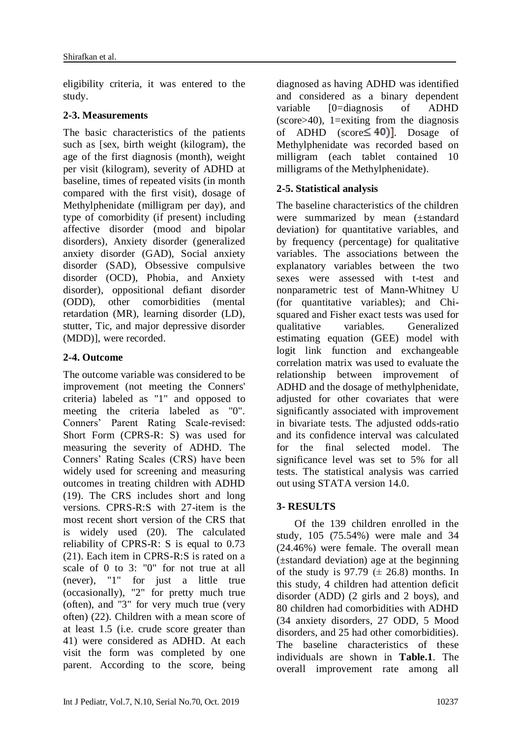eligibility criteria, it was entered to the study.

### **2-3. Measurements**

The basic characteristics of the patients such as [sex, birth weight (kilogram), the age of the first diagnosis (month), weight per visit (kilogram), severity of ADHD at baseline, times of repeated visits (in month compared with the first visit), dosage of Methylphenidate (milligram per day), and type of comorbidity (if present) including affective disorder (mood and bipolar disorders), Anxiety disorder (generalized anxiety disorder (GAD), Social anxiety disorder (SAD), Obsessive compulsive disorder (OCD), Phobia, and Anxiety disorder), oppositional defiant disorder (ODD), other comorbidities (mental retardation (MR), learning disorder (LD), stutter, Tic, and major depressive disorder (MDD)], were recorded.

### **2-4. Outcome**

The outcome variable was considered to be improvement (not meeting the Conners' criteria) labeled as "1" and opposed to meeting the criteria labeled as "0". Conners' Parent Rating Scale-revised: Short Form (CPRS-R: S) was used for measuring the severity of ADHD. The Conners' Rating Scales (CRS) have been widely used for screening and measuring outcomes in treating children with ADHD [\(19\)](#page-6-12). The CRS includes short and long versions. CPRS-R:S with 27-item is the most recent short version of the CRS that is widely used [\(20\)](#page-6-13). The calculated reliability of CPRS-R: S is equal to 0.73 [\(21\)](#page-6-14). Each item in CPRS-R:S is rated on a scale of 0 to 3: "0" for not true at all (never), "1" for just a little true (occasionally), "2" for pretty much true (often), and "3" for very much true (very often) [\(22\)](#page-7-0). Children with a mean score of at least 1.5 (i.e. crude score greater than 41) were considered as ADHD. At each visit the form was completed by one parent. According to the score, being

diagnosed as having ADHD was identified and considered as a binary dependent variable [0=diagnosis of ADHD  $(score>40)$ , 1=exiting from the diagnosis of ADHD (score  $\leq 40$ ). Dosage of Methylphenidate was recorded based on milligram (each tablet contained 10 milligrams of the Methylphenidate).

### **2-5. Statistical analysis**

The baseline characteristics of the children were summarized by mean (±standard deviation) for quantitative variables, and by frequency (percentage) for qualitative variables. The associations between the explanatory variables between the two sexes were assessed with t-test and nonparametric test of Mann-Whitney U (for quantitative variables); and Chisquared and Fisher exact tests was used for qualitative variables. Generalized estimating equation (GEE) model with logit link function and exchangeable correlation matrix was used to evaluate the relationship between improvement of ADHD and the dosage of methylphenidate, adjusted for other covariates that were significantly associated with improvement in bivariate tests. The adjusted odds-ratio and its confidence interval was calculated for the final selected model. The significance level was set to 5% for all tests. The statistical analysis was carried out using STATA version 14.0.

# **3- RESULTS**

 Of the 139 children enrolled in the study, 105 (75.54%) were male and 34 (24.46%) were female. The overall mean (±standard deviation) age at the beginning of the study is 97.79  $(\pm 26.8)$  months. In this study, 4 children had attention deficit disorder (ADD) (2 girls and 2 boys), and 80 children had comorbidities with ADHD (34 anxiety disorders, 27 ODD, 5 Mood disorders, and 25 had other comorbidities). The baseline characteristics of these individuals are shown in **Table.1**. The overall improvement rate among all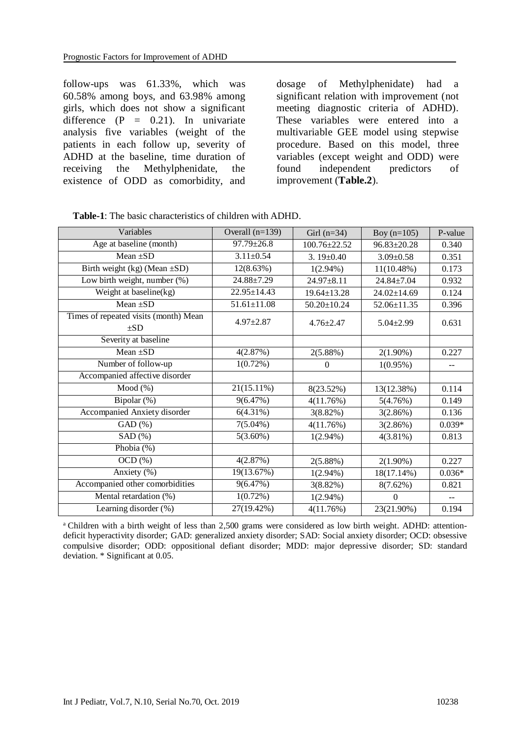follow-ups was 61.33%, which was 60.58% among boys, and 63.98% among girls, which does not show a significant difference  $(P = 0.21)$ . In univariate analysis five variables (weight of the patients in each follow up, severity of ADHD at the baseline, time duration of receiving the Methylphenidate, the existence of ODD as comorbidity, and

dosage of Methylphenidate) had a significant relation with improvement (not meeting diagnostic criteria of ADHD). These variables were entered into a multivariable GEE model using stepwise procedure. Based on this model, three variables (except weight and ODD) were found independent predictors of improvement (**Table.2**).

| Variables                                         | Overall $(n=139)$ | Girl $(n=34)$     | Boy $(n=105)$     | P-value  |
|---------------------------------------------------|-------------------|-------------------|-------------------|----------|
| Age at baseline (month)                           | 97.79±26.8        | 100.76±22.52      | $96.83 \pm 20.28$ | 0.340    |
| Mean $\pm SD$                                     | $3.11 \pm 0.54$   | 3.19 $\pm$ 0.40   | $3.09 \pm 0.58$   | 0.351    |
| Birth weight $(kg)$ (Mean $\pm SD$ )              | 12(8.63%)         | $1(2.94\%)$       | $11(10.48\%)$     | 0.173    |
| Low birth weight, number (%)                      | 24.88±7.29        | 24.97±8.11        | 24.84±7.04        | 0.932    |
| Weight at baseline(kg)                            | 22.95±14.43       | $19.64 \pm 13.28$ | $24.02 \pm 14.69$ | 0.124    |
| Mean $\pm SD$                                     | $51.61 \pm 11.08$ | $50.20 \pm 10.24$ | 52.06±11.35       | 0.396    |
| Times of repeated visits (month) Mean<br>$\pm SD$ | $4.97 \pm 2.87$   | $4.76 \pm 2.47$   | $5.04 \pm 2.99$   | 0.631    |
| Severity at baseline                              |                   |                   |                   |          |
| Mean $\pm SD$                                     | 4(2.87%)          | 2(5.88%)          | $2(1.90\%)$       | 0.227    |
| Number of follow-up                               | $1(0.72\%)$       | $\mathbf{0}$      | $1(0.95\%)$       | $-$      |
| Accompanied affective disorder                    |                   |                   |                   |          |
| Mod(%)                                            | $21(15.11\%)$     | 8(23.52%)         | 13(12.38%)        | 0.114    |
| Bipolar (%)                                       | 9(6.47%)          | 4(11.76%)         | 5(4.76%)          | 0.149    |
| Accompanied Anxiety disorder                      | $6(4.31\%)$       | $3(8.82\%)$       | 3(2.86%)          | 0.136    |
| GAD(%)                                            | $7(5.04\%)$       | 4(11.76%)         | 3(2.86%)          | $0.039*$ |
| SAD(%)                                            | $5(3.60\%)$       | $1(2.94\%)$       | $4(3.81\%)$       | 0.813    |
| Phobia (%)                                        |                   |                   |                   |          |
| $OCD$ $%$                                         | 4(2.87%)          | 2(5.88%)          | $2(1.90\%)$       | 0.227    |
| Anxiety (%)                                       | 19(13.67%)        | $1(2.94\%)$       | $18(17.14\%)$     | $0.036*$ |
| Accompanied other comorbidities                   | 9(6.47%)          | 3(8.82%)          | $8(7.62\%)$       | 0.821    |
| Mental retardation (%)                            | $1(0.72\%)$       | $1(2.94\%)$       | $\theta$          | $- -$    |
| Learning disorder (%)                             | 27(19.42%)        | 4(11.76%)         | 23(21.90%)        | 0.194    |

| <b>Table-1:</b> The basic characteristics of children with ADHD. |
|------------------------------------------------------------------|
|------------------------------------------------------------------|

<sup>a</sup> Children with a birth weight of less than 2,500 grams were considered as low birth weight. ADHD: attentiondeficit hyperactivity disorder; GAD: generalized anxiety disorder; SAD: Social anxiety disorder; OCD: obsessive compulsive disorder; ODD: oppositional defiant disorder; MDD: major depressive disorder; SD: standard deviation. \* Significant at 0.05.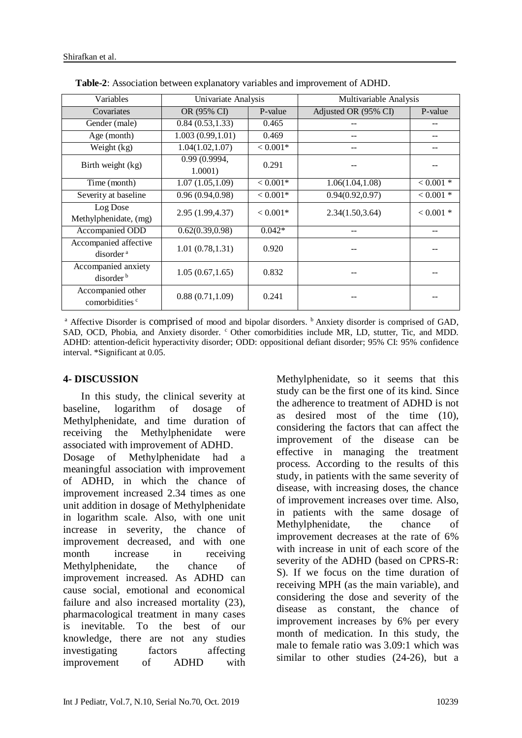| Variables                                       | Univariate Analysis      |            | Multivariable Analysis |             |
|-------------------------------------------------|--------------------------|------------|------------------------|-------------|
| Covariates                                      | OR (95% CI)              | P-value    | Adjusted OR (95% CI)   | P-value     |
| Gender (male)                                   | 0.84(0.53, 1.33)         | 0.465      |                        |             |
| Age (month)                                     | 1.003(0.99, 1.01)        | 0.469      |                        |             |
| Weight (kg)                                     | 1.04(1.02, 1.07)         | $< 0.001*$ |                        |             |
| Birth weight (kg)                               | 0.99 (0.9994,<br>1.0001) | 0.291      |                        |             |
| Time (month)                                    | 1.07(1.05, 1.09)         | $< 0.001*$ | 1.06(1.04, 1.08)       | $< 0.001$ * |
| Severity at baseline                            | 0.96(0.94, 0.98)         | $< 0.001*$ | 0.94(0.92, 0.97)       | $< 0.001$ * |
| Log Dose<br>Methylphenidate, (mg)               | 2.95 (1.99,4.37)         | $< 0.001*$ | 2.34(1.50, 3.64)       | $< 0.001$ * |
| Accompanied ODD                                 | 0.62(0.39, 0.98)         | $0.042*$   |                        |             |
| Accompanied affective<br>disorder <sup>a</sup>  | 1.01(0.78, 1.31)         | 0.920      |                        |             |
| Accompanied anxiety<br>disorder <sup>b</sup>    | 1.05(0.67, 1.65)         | 0.832      |                        |             |
| Accompanied other<br>comorbidities <sup>c</sup> | 0.88(0.71, 1.09)         | 0.241      |                        |             |

 **Table-2**: Association between explanatory variables and improvement of ADHD.

<sup>a</sup> Affective Disorder is comprised of mood and bipolar disorders. <sup>b</sup> Anxiety disorder is comprised of GAD, SAD, OCD, Phobia, and Anxiety disorder. <sup>c</sup> Other comorbidities include MR, LD, stutter, Tic, and MDD. ADHD: attention-deficit hyperactivity disorder; ODD: oppositional defiant disorder; 95% CI: 95% confidence interval. \*Significant at 0.05.

#### **4- DISCUSSION**

 In this study, the clinical severity at baseline, logarithm of dosage of Methylphenidate, and time duration of receiving the Methylphenidate were associated with improvement of ADHD.

Dosage of Methylphenidate had a meaningful association with improvement of ADHD, in which the chance of improvement increased 2.34 times as one unit addition in dosage of Methylphenidate in logarithm scale. Also, with one unit increase in severity, the chance of improvement decreased, and with one month increase in receiving Methylphenidate, the chance of improvement increased. As ADHD can cause social, emotional and economical failure and also increased mortality [\(23\)](#page-7-1), pharmacological treatment in many cases is inevitable. To the best of our knowledge, there are not any studies investigating factors affecting improvement of ADHD with

Methylphenidate, so it seems that this study can be the first one of its kind. Since the adherence to treatment of ADHD is not as desired most of the time [\(10\)](#page-6-6), considering the factors that can affect the improvement of the disease can be effective in managing the treatment process. According to the results of this study, in patients with the same severity of disease, with increasing doses, the chance of improvement increases over time. Also, in patients with the same dosage of Methylphenidate, the chance of improvement decreases at the rate of 6% with increase in unit of each score of the severity of the ADHD (based on CPRS-R: S). If we focus on the time duration of receiving MPH (as the main variable), and considering the dose and severity of the disease as constant, the chance of improvement increases by 6% per every month of medication. In this study, the male to female ratio was 3.09:1 which was similar to other studies [\(24-26\)](#page-7-2), but a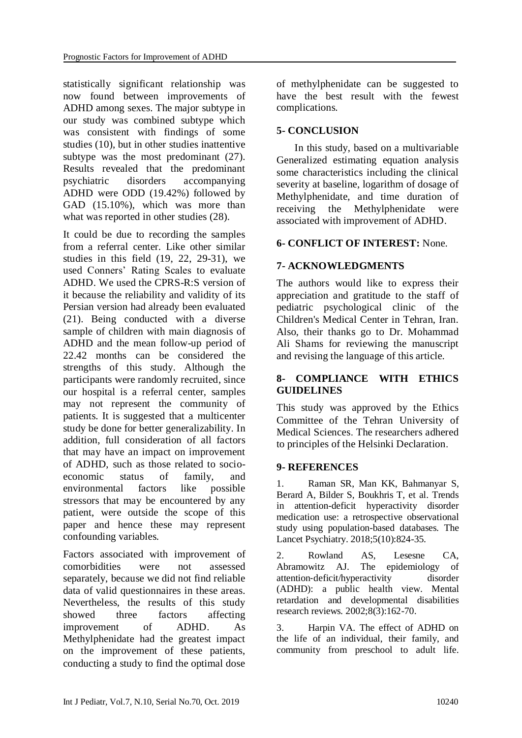statistically significant relationship was now found between improvements of ADHD among sexes. The major subtype in our study was combined subtype which was consistent with findings of some studies [\(10\)](#page-6-6), but in other studies inattentive subtype was the most predominant  $(27)$ . Results revealed that the predominant psychiatric disorders accompanying ADHD were ODD (19.42%) followed by GAD (15.10%), which was more than what was reported in other studies  $(28)$ .

It could be due to recording the samples from a referral center. Like other similar studies in this field [\(19,](#page-6-12) [22,](#page-7-0) [29-31\)](#page-7-5), we used Conners' Rating Scales to evaluate ADHD. We used the CPRS-R:S version of it because the reliability and validity of its Persian version had already been evaluated [\(21\)](#page-6-14). Being conducted with a diverse sample of children with main diagnosis of ADHD and the mean follow-up period of 22.42 months can be considered the strengths of this study. Although the participants were randomly recruited, since our hospital is a referral center, samples may not represent the community of patients. It is suggested that a multicenter study be done for better generalizability. In addition, full consideration of all factors that may have an impact on improvement of ADHD, such as those related to socioeconomic status of family, and environmental factors like possible stressors that may be encountered by any patient, were outside the scope of this paper and hence these may represent confounding variables.

Factors associated with improvement of comorbidities were not assessed separately, because we did not find reliable data of valid questionnaires in these areas. Nevertheless, the results of this study showed three factors affecting improvement of ADHD. As Methylphenidate had the greatest impact on the improvement of these patients, conducting a study to find the optimal dose

of methylphenidate can be suggested to have the best result with the fewest complications.

### **5- CONCLUSION**

 In this study, based on a multivariable Generalized estimating equation analysis some characteristics including the clinical severity at baseline, logarithm of dosage of Methylphenidate, and time duration of receiving the Methylphenidate were associated with improvement of ADHD.

#### **6- CONFLICT OF INTEREST:** None.

### **7- ACKNOWLEDGMENTS**

The authors would like to express their appreciation and gratitude to the staff of pediatric psychological clinic of the Children's Medical Center in Tehran, Iran. Also, their thanks go to Dr. Mohammad Ali Shams for reviewing the manuscript and revising the language of this article.

#### **8- COMPLIANCE WITH ETHICS GUIDELINES**

This study was approved by the Ethics Committee of the Tehran University of Medical Sciences. The researchers adhered to principles of the Helsinki Declaration.

#### **9- REFERENCES**

<span id="page-5-0"></span>1. Raman SR, Man KK, Bahmanyar S, Berard A, Bilder S, Boukhris T, et al. Trends in attention-deficit hyperactivity disorder medication use: a retrospective observational study using population-based databases. The Lancet Psychiatry. 2018;5(10):824-35.

<span id="page-5-1"></span>2. Rowland AS, Lesesne CA, Abramowitz AJ. The epidemiology of attention‐deficit/hyperactivity disorder (ADHD): a public health view. Mental retardation and developmental disabilities research reviews. 2002;8(3):162-70.

<span id="page-5-2"></span>3. Harpin VA. The effect of ADHD on the life of an individual, their family, and community from preschool to adult life.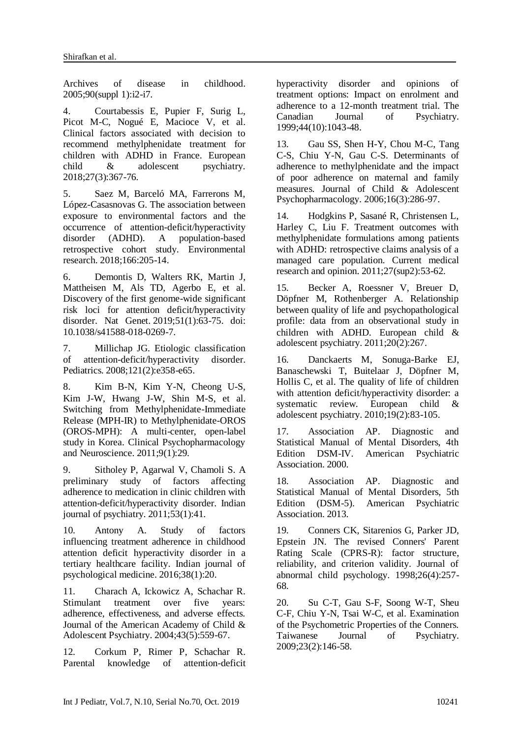Archives of disease in childhood. 2005;90(suppl 1):i2-i7.

<span id="page-6-0"></span>4. Courtabessis E, Pupier F, Surig L, Picot M-C, Nogué E, Macioce V, et al. Clinical factors associated with decision to recommend methylphenidate treatment for children with ADHD in France. European child & adolescent psychiatry. 2018;27(3):367-76.

<span id="page-6-1"></span>5. Saez M, Barceló MA, Farrerons M, López-Casasnovas G. The association between exposure to environmental factors and the occurrence of attention-deficit/hyperactivity disorder (ADHD). A population-based retrospective cohort study. Environmental research. 2018;166:205-14.

<span id="page-6-2"></span>6. Demontis D, Walters RK, Martin J, Mattheisen M, Als TD, Agerbo E, et al. Discovery of the first genome-wide significant risk loci for attention deficit/hyperactivity disorder. [Nat Genet.](https://www.ncbi.nlm.nih.gov/pubmed/30478444) 2019;51(1):63-75. doi: 10.1038/s41588-018-0269-7.

<span id="page-6-3"></span>7. Millichap JG. Etiologic classification of attention-deficit/hyperactivity disorder. Pediatrics. 2008;121(2):e358-e65.

<span id="page-6-4"></span>8. Kim B-N, Kim Y-N, Cheong U-S, Kim J-W, Hwang J-W, Shin M-S, et al. Switching from Methylphenidate-Immediate Release (MPH-IR) to Methylphenidate-OROS (OROS-MPH): A multi-center, open-label study in Korea. Clinical Psychopharmacology and Neuroscience. 2011;9(1):29.

<span id="page-6-5"></span>9. Sitholey P, Agarwal V, Chamoli S. A preliminary study of factors affecting adherence to medication in clinic children with attention-deficit/hyperactivity disorder. Indian journal of psychiatry. 2011;53(1):41.

<span id="page-6-6"></span>10. Antony A. Study of factors influencing treatment adherence in childhood attention deficit hyperactivity disorder in a tertiary healthcare facility. Indian journal of psychological medicine. 2016;38(1):20.

<span id="page-6-7"></span>11. Charach A, Ickowicz A, Schachar R. Stimulant treatment over five years: adherence, effectiveness, and adverse effects. Journal of the American Academy of Child & Adolescent Psychiatry. 2004;43(5):559-67.

12. Corkum P, Rimer P, Schachar R. Parental knowledge of attention-deficit hyperactivity disorder and opinions of treatment options: Impact on enrolment and adherence to a 12-month treatment trial. The Canadian Journal of Psychiatry. 1999;44(10):1043-48.

13. Gau SS, Shen H-Y, Chou M-C, Tang C-S, Chiu Y-N, Gau C-S. Determinants of adherence to methylphenidate and the impact of poor adherence on maternal and family measures. Journal of Child & Adolescent Psychopharmacology. 2006;16(3):286-97.

14. Hodgkins P, Sasané R, Christensen L, Harley C, Liu F. Treatment outcomes with methylphenidate formulations among patients with ADHD: retrospective claims analysis of a managed care population. Current medical research and opinion. 2011;27(sup2):53-62.

<span id="page-6-8"></span>15. Becker A, Roessner V, Breuer D, Döpfner M, Rothenberger A. Relationship between quality of life and psychopathological profile: data from an observational study in children with ADHD. European child & adolescent psychiatry. 2011;20(2):267.

<span id="page-6-9"></span>16. Danckaerts M, Sonuga-Barke EJ, Banaschewski T, Buitelaar J, Döpfner M, Hollis C, et al. The quality of life of children with attention deficit/hyperactivity disorder: a systematic review. European child & adolescent psychiatry. 2010;19(2):83-105.

<span id="page-6-10"></span>17. Association AP. Diagnostic and Statistical Manual of Mental Disorders, 4th Edition DSM-IV. American Psychiatric Association. 2000.

<span id="page-6-11"></span>18. Association AP. Diagnostic and Statistical Manual of Mental Disorders, 5th Edition (DSM-5). American Psychiatric Association. 2013.

<span id="page-6-12"></span>19. Conners CK, Sitarenios G, Parker JD, Epstein JN. The revised Conners' Parent Rating Scale (CPRS-R): factor structure, reliability, and criterion validity. Journal of abnormal child psychology. 1998;26(4):257- 68.

<span id="page-6-14"></span><span id="page-6-13"></span>20. Su C-T, Gau S-F, Soong W-T, Sheu C-F, Chiu Y-N, Tsai W-C, et al. Examination of the Psychometric Properties of the Conners. Taiwanese Journal of Psychiatry. 2009;23(2):146-58.